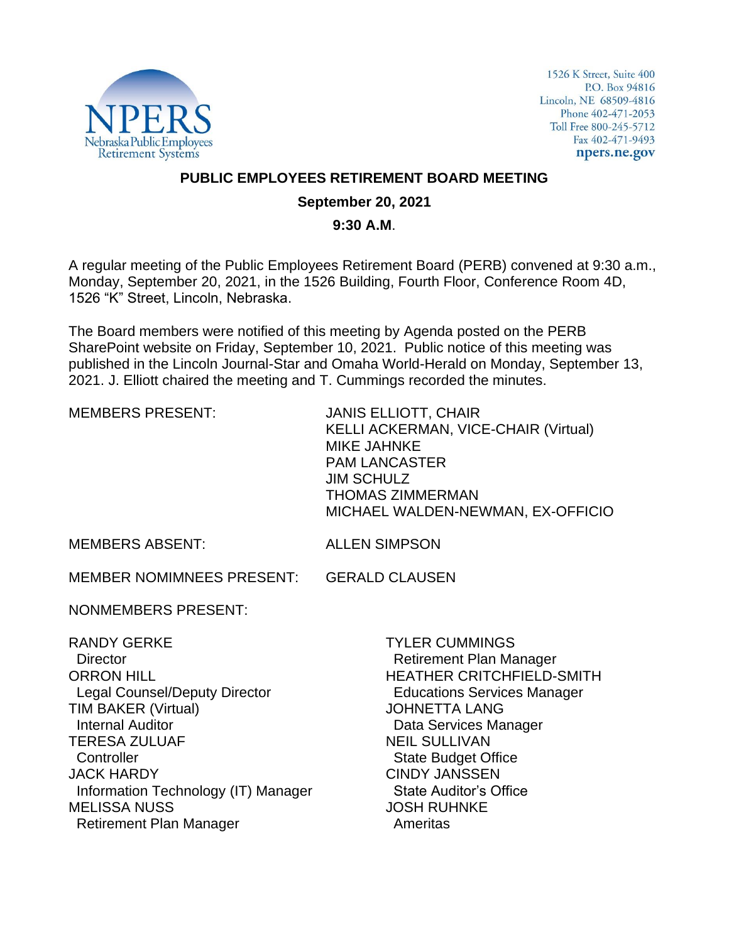

1526 K Street, Suite 400 P.O. Box 94816 Lincoln, NE 68509-4816 Phone 402-471-2053 Toll Free 800-245-5712 Fax 402-471-9493 npers.ne.gov

## **PUBLIC EMPLOYEES RETIREMENT BOARD MEETING**

## **September 20, 2021**

## **9:30 A.M**.

A regular meeting of the Public Employees Retirement Board (PERB) convened at 9:30 a.m., Monday, September 20, 2021, in the 1526 Building, Fourth Floor, Conference Room 4D, 1526 "K" Street, Lincoln, Nebraska.

The Board members were notified of this meeting by Agenda posted on the PERB SharePoint website on Friday, September 10, 2021. Public notice of this meeting was published in the Lincoln Journal-Star and Omaha World-Herald on Monday, September 13, 2021. J. Elliott chaired the meeting and T. Cummings recorded the minutes.

| <b>MEMBERS PRESENT:</b>                                                                                                                                                                                                                                                                                                | <b>JANIS ELLIOTT, CHAIR</b><br><b>KELLI ACKERMAN, VICE-CHAIR (Virtual)</b><br><b>MIKE JAHNKE</b><br><b>PAM LANCASTER</b><br><b>JIM SCHULZ</b><br><b>THOMAS ZIMMERMAN</b><br>MICHAEL WALDEN-NEWMAN, EX-OFFICIO                                                                                                                       |
|------------------------------------------------------------------------------------------------------------------------------------------------------------------------------------------------------------------------------------------------------------------------------------------------------------------------|-------------------------------------------------------------------------------------------------------------------------------------------------------------------------------------------------------------------------------------------------------------------------------------------------------------------------------------|
| <b>MEMBERS ABSENT:</b>                                                                                                                                                                                                                                                                                                 | <b>ALLEN SIMPSON</b>                                                                                                                                                                                                                                                                                                                |
| MEMBER NOMIMNEES PRESENT:                                                                                                                                                                                                                                                                                              | <b>GERALD CLAUSEN</b>                                                                                                                                                                                                                                                                                                               |
| <b>NONMEMBERS PRESENT:</b>                                                                                                                                                                                                                                                                                             |                                                                                                                                                                                                                                                                                                                                     |
| <b>RANDY GERKE</b><br><b>Director</b><br><b>ORRON HILL</b><br><b>Legal Counsel/Deputy Director</b><br><b>TIM BAKER (Virtual)</b><br><b>Internal Auditor</b><br><b>TERESA ZULUAF</b><br>Controller<br><b>JACK HARDY</b><br>Information Technology (IT) Manager<br><b>MELISSA NUSS</b><br><b>Retirement Plan Manager</b> | <b>TYLER CUMMINGS</b><br><b>Retirement Plan Manager</b><br><b>HEATHER CRITCHFIELD-SMITH</b><br><b>Educations Services Manager</b><br><b>JOHNETTA LANG</b><br>Data Services Manager<br><b>NEIL SULLIVAN</b><br><b>State Budget Office</b><br><b>CINDY JANSSEN</b><br><b>State Auditor's Office</b><br><b>JOSH RUHNKE</b><br>Ameritas |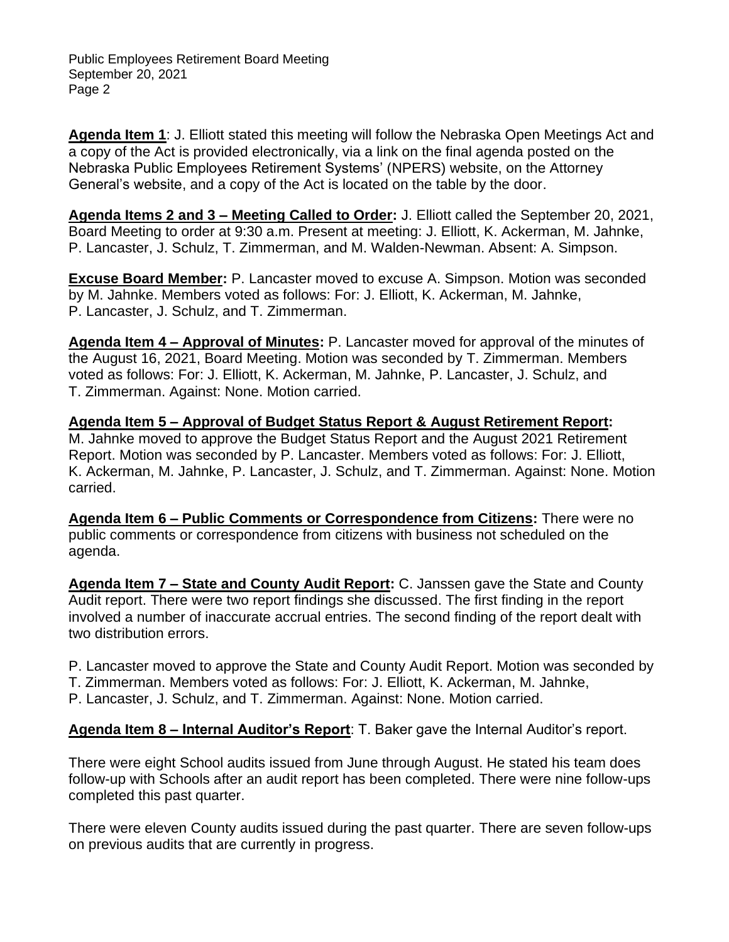**Agenda Item 1**: J. Elliott stated this meeting will follow the Nebraska Open Meetings Act and a copy of the Act is provided electronically, via a link on the final agenda posted on the Nebraska Public Employees Retirement Systems' (NPERS) website, on the Attorney General's website, and a copy of the Act is located on the table by the door.

**Agenda Items 2 and 3 – Meeting Called to Order:** J. Elliott called the September 20, 2021, Board Meeting to order at 9:30 a.m. Present at meeting: J. Elliott, K. Ackerman, M. Jahnke, P. Lancaster, J. Schulz, T. Zimmerman, and M. Walden-Newman. Absent: A. Simpson.

**Excuse Board Member:** P. Lancaster moved to excuse A. Simpson. Motion was seconded by M. Jahnke. Members voted as follows: For: J. Elliott, K. Ackerman, M. Jahnke, P. Lancaster, J. Schulz, and T. Zimmerman.

**Agenda Item 4 – Approval of Minutes:** P. Lancaster moved for approval of the minutes of the August 16, 2021, Board Meeting. Motion was seconded by T. Zimmerman. Members voted as follows: For: J. Elliott, K. Ackerman, M. Jahnke, P. Lancaster, J. Schulz, and T. Zimmerman. Against: None. Motion carried.

**Agenda Item 5 – Approval of Budget Status Report & August Retirement Report:**  M. Jahnke moved to approve the Budget Status Report and the August 2021 Retirement Report. Motion was seconded by P. Lancaster. Members voted as follows: For: J. Elliott, K. Ackerman, M. Jahnke, P. Lancaster, J. Schulz, and T. Zimmerman. Against: None. Motion carried.

**Agenda Item 6 – Public Comments or Correspondence from Citizens:** There were no public comments or correspondence from citizens with business not scheduled on the agenda.

**Agenda Item 7 – State and County Audit Report:** C. Janssen gave the State and County Audit report. There were two report findings she discussed. The first finding in the report involved a number of inaccurate accrual entries. The second finding of the report dealt with two distribution errors.

P. Lancaster moved to approve the State and County Audit Report. Motion was seconded by

T. Zimmerman. Members voted as follows: For: J. Elliott, K. Ackerman, M. Jahnke,

P. Lancaster, J. Schulz, and T. Zimmerman. Against: None. Motion carried.

**Agenda Item 8 – Internal Auditor's Report**: T. Baker gave the Internal Auditor's report.

There were eight School audits issued from June through August. He stated his team does follow-up with Schools after an audit report has been completed. There were nine follow-ups completed this past quarter.

There were eleven County audits issued during the past quarter. There are seven follow-ups on previous audits that are currently in progress.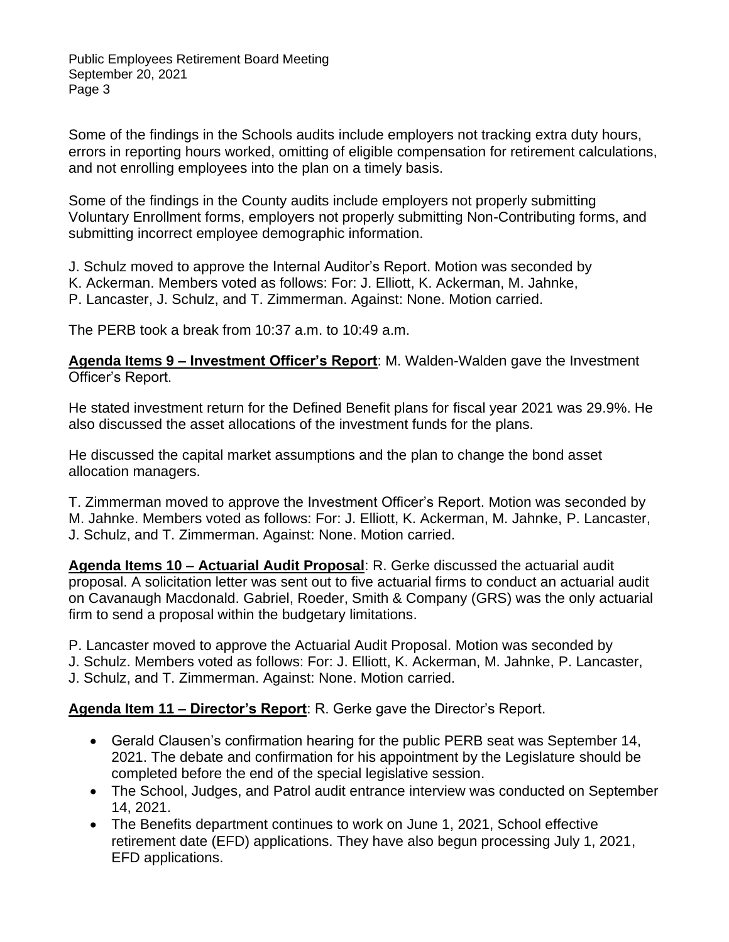Some of the findings in the Schools audits include employers not tracking extra duty hours, errors in reporting hours worked, omitting of eligible compensation for retirement calculations, and not enrolling employees into the plan on a timely basis.

Some of the findings in the County audits include employers not properly submitting Voluntary Enrollment forms, employers not properly submitting Non-Contributing forms, and submitting incorrect employee demographic information.

J. Schulz moved to approve the Internal Auditor's Report. Motion was seconded by K. Ackerman. Members voted as follows: For: J. Elliott, K. Ackerman, M. Jahnke, P. Lancaster, J. Schulz, and T. Zimmerman. Against: None. Motion carried.

The PERB took a break from 10:37 a.m. to 10:49 a.m.

**Agenda Items 9 – Investment Officer's Report**: M. Walden-Walden gave the Investment Officer's Report.

He stated investment return for the Defined Benefit plans for fiscal year 2021 was 29.9%. He also discussed the asset allocations of the investment funds for the plans.

He discussed the capital market assumptions and the plan to change the bond asset allocation managers.

T. Zimmerman moved to approve the Investment Officer's Report. Motion was seconded by M. Jahnke. Members voted as follows: For: J. Elliott, K. Ackerman, M. Jahnke, P. Lancaster, J. Schulz, and T. Zimmerman. Against: None. Motion carried.

**Agenda Items 10 – Actuarial Audit Proposal**: R. Gerke discussed the actuarial audit proposal. A solicitation letter was sent out to five actuarial firms to conduct an actuarial audit on Cavanaugh Macdonald. Gabriel, Roeder, Smith & Company (GRS) was the only actuarial firm to send a proposal within the budgetary limitations.

P. Lancaster moved to approve the Actuarial Audit Proposal. Motion was seconded by

J. Schulz. Members voted as follows: For: J. Elliott, K. Ackerman, M. Jahnke, P. Lancaster,

J. Schulz, and T. Zimmerman. Against: None. Motion carried.

**Agenda Item 11 – Director's Report**: R. Gerke gave the Director's Report.

- Gerald Clausen's confirmation hearing for the public PERB seat was September 14, 2021. The debate and confirmation for his appointment by the Legislature should be completed before the end of the special legislative session.
- The School, Judges, and Patrol audit entrance interview was conducted on September 14, 2021.
- The Benefits department continues to work on June 1, 2021, School effective retirement date (EFD) applications. They have also begun processing July 1, 2021, EFD applications.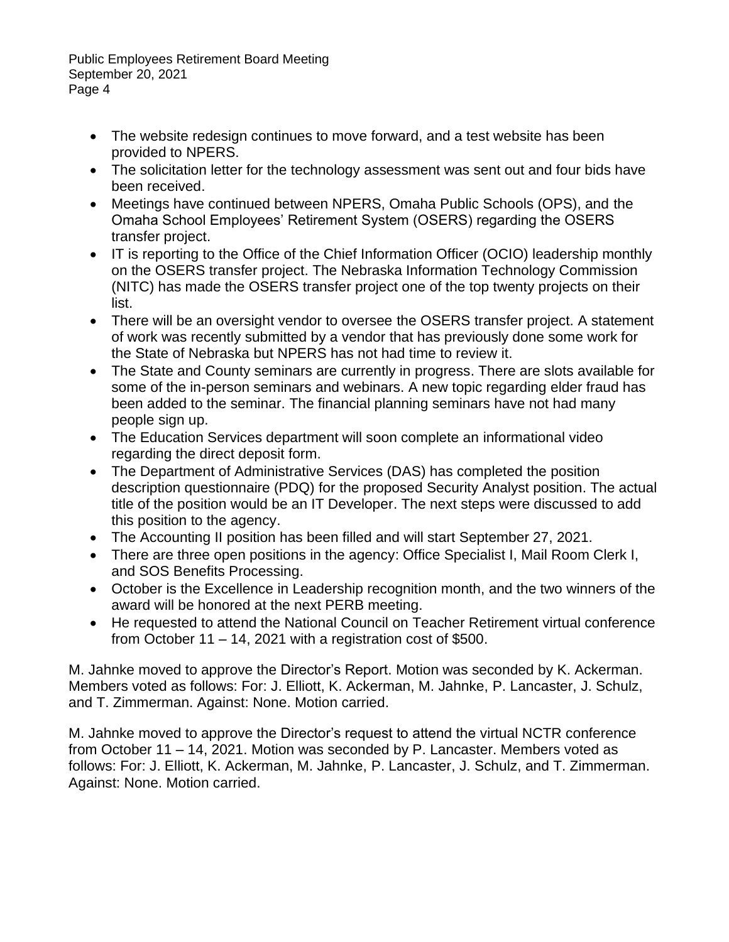- The website redesign continues to move forward, and a test website has been provided to NPERS.
- The solicitation letter for the technology assessment was sent out and four bids have been received.
- Meetings have continued between NPERS, Omaha Public Schools (OPS), and the Omaha School Employees' Retirement System (OSERS) regarding the OSERS transfer project.
- IT is reporting to the Office of the Chief Information Officer (OCIO) leadership monthly on the OSERS transfer project. The Nebraska Information Technology Commission (NITC) has made the OSERS transfer project one of the top twenty projects on their list.
- There will be an oversight vendor to oversee the OSERS transfer project. A statement of work was recently submitted by a vendor that has previously done some work for the State of Nebraska but NPERS has not had time to review it.
- The State and County seminars are currently in progress. There are slots available for some of the in-person seminars and webinars. A new topic regarding elder fraud has been added to the seminar. The financial planning seminars have not had many people sign up.
- The Education Services department will soon complete an informational video regarding the direct deposit form.
- The Department of Administrative Services (DAS) has completed the position description questionnaire (PDQ) for the proposed Security Analyst position. The actual title of the position would be an IT Developer. The next steps were discussed to add this position to the agency.
- The Accounting II position has been filled and will start September 27, 2021.
- There are three open positions in the agency: Office Specialist I, Mail Room Clerk I, and SOS Benefits Processing.
- October is the Excellence in Leadership recognition month, and the two winners of the award will be honored at the next PERB meeting.
- He requested to attend the National Council on Teacher Retirement virtual conference from October 11 – 14, 2021 with a registration cost of \$500.

M. Jahnke moved to approve the Director's Report. Motion was seconded by K. Ackerman. Members voted as follows: For: J. Elliott, K. Ackerman, M. Jahnke, P. Lancaster, J. Schulz, and T. Zimmerman. Against: None. Motion carried.

M. Jahnke moved to approve the Director's request to attend the virtual NCTR conference from October 11 – 14, 2021. Motion was seconded by P. Lancaster. Members voted as follows: For: J. Elliott, K. Ackerman, M. Jahnke, P. Lancaster, J. Schulz, and T. Zimmerman. Against: None. Motion carried.